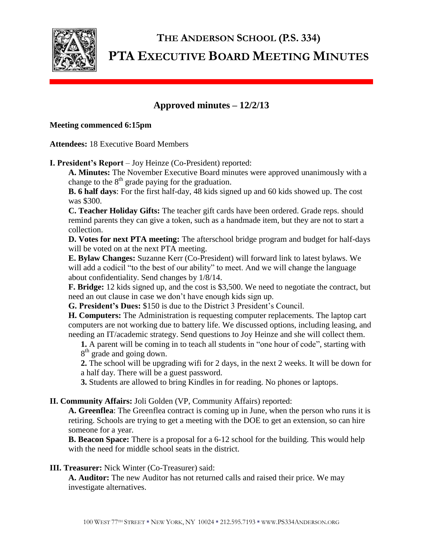

**THE ANDERSON SCHOOL (P.S. 334) PTA EXECUTIVE BOARD MEETING MINUTES**

# **Approved minutes – 12/2/13**

### **Meeting commenced 6:15pm**

**Attendees:** 18 Executive Board Members

**I. President's Report** – Joy Heinze (Co-President) reported:

**A. Minutes:** The November Executive Board minutes were approved unanimously with a change to the  $8<sup>th</sup>$  grade paying for the graduation.

**B. 6 half days**: For the first half-day, 48 kids signed up and 60 kids showed up. The cost was \$300.

**C. Teacher Holiday Gifts:** The teacher gift cards have been ordered. Grade reps. should remind parents they can give a token, such as a handmade item, but they are not to start a collection.

**D. Votes for next PTA meeting:** The afterschool bridge program and budget for half-days will be voted on at the next PTA meeting.

**E. Bylaw Changes:** Suzanne Kerr (Co-President) will forward link to latest bylaws. We will add a codicil "to the best of our ability" to meet. And we will change the language about confidentiality. Send changes by 1/8/14.

**F. Bridge:** 12 kids signed up, and the cost is \$3,500. We need to negotiate the contract, but need an out clause in case we don't have enough kids sign up.

**G. President's Dues:** \$150 is due to the District 3 President's Council.

**H. Computers:** The Administration is requesting computer replacements. The laptop cart computers are not working due to battery life. We discussed options, including leasing, and needing an IT/academic strategy. Send questions to Joy Heinze and she will collect them.

**1.** A parent will be coming in to teach all students in "one hour of code", starting with 8<sup>th</sup> grade and going down.

**2.** The school will be upgrading wifi for 2 days, in the next 2 weeks. It will be down for a half day. There will be a guest password.

**3.** Students are allowed to bring Kindles in for reading. No phones or laptops.

#### **II. Community Affairs:** Joli Golden (VP, Community Affairs) reported:

**A. Greenflea**: The Greenflea contract is coming up in June, when the person who runs it is retiring. Schools are trying to get a meeting with the DOE to get an extension, so can hire someone for a year.

**B. Beacon Space:** There is a proposal for a 6-12 school for the building. This would help with the need for middle school seats in the district.

#### **III. Treasurer:** Nick Winter (Co-Treasurer) said:

**A. Auditor:** The new Auditor has not returned calls and raised their price. We may investigate alternatives.